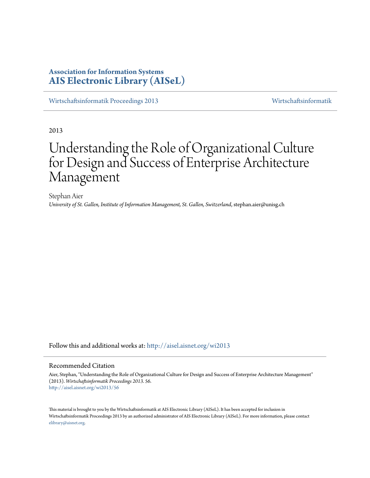# **Association for Information Systems [AIS Electronic Library \(AISeL\)](http://aisel.aisnet.org?utm_source=aisel.aisnet.org%2Fwi2013%2F56&utm_medium=PDF&utm_campaign=PDFCoverPages)**

[Wirtschaftsinformatik Proceedings 2013](http://aisel.aisnet.org/wi2013?utm_source=aisel.aisnet.org%2Fwi2013%2F56&utm_medium=PDF&utm_campaign=PDFCoverPages) [Wirtschaftsinformatik](http://aisel.aisnet.org/wi?utm_source=aisel.aisnet.org%2Fwi2013%2F56&utm_medium=PDF&utm_campaign=PDFCoverPages)

2013

# Understanding the Role of Organizational Culture for Design and Success of Enterprise Architecture Management

Stephan Aier *University of St. Gallen, Institute of Information Management, St. Gallen, Switzerland*, stephan.aier@unisg.ch

Follow this and additional works at: [http://aisel.aisnet.org/wi2013](http://aisel.aisnet.org/wi2013?utm_source=aisel.aisnet.org%2Fwi2013%2F56&utm_medium=PDF&utm_campaign=PDFCoverPages)

#### Recommended Citation

Aier, Stephan, "Understanding the Role of Organizational Culture for Design and Success of Enterprise Architecture Management" (2013). *Wirtschaftsinformatik Proceedings 2013*. 56. [http://aisel.aisnet.org/wi2013/56](http://aisel.aisnet.org/wi2013/56?utm_source=aisel.aisnet.org%2Fwi2013%2F56&utm_medium=PDF&utm_campaign=PDFCoverPages)

This material is brought to you by the Wirtschaftsinformatik at AIS Electronic Library (AISeL). It has been accepted for inclusion in Wirtschaftsinformatik Proceedings 2013 by an authorized administrator of AIS Electronic Library (AISeL). For more information, please contact [elibrary@aisnet.org.](mailto:elibrary@aisnet.org%3E)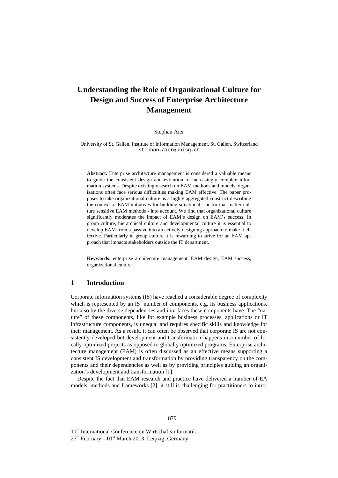# **Understanding the Role of Organizational Culture for Design and Success of Enterprise Architecture Management**

Stephan Aier

University of St. Gallen, Institute of Information Management, St. Gallen, Switzerland stephan.aier@unisg.ch

**Abstract.** Enterprise architecture management is considered a valuable means to guide the consistent design and evolution of increasingly complex information systems. Despite existing research on EAM methods and models, organizations often face serious difficulties making EAM effective. The paper proposes to take organizational culture as a highly aggregated construct describing the context of EAM initiatives for building situational - or for that matter culture sensitive EAM methods - into account. We find that organizational culture significantly moderates the impact of EAM's design on EAM's success. In group culture, hierarchical culture and developmental culture it is essential to develop EAM from a passive into an actively designing approach to make it effective. Particularly in group culture it is rewarding to strive for an EAM approach that impacts stakeholders outside the IT department.

**Keywords:** enterprise architecture management, EAM design, EAM success, organizational culture

#### **1 Introduction**

Corporate information systems (IS) have reached a considerable degree of complexity which is represented by an IS' number of components, e.g. its business applications, but also by the diverse dependencies and interfaces these components have. The "nature" of these components, like for example business processes, applications or IT infrastructure components, is unequal and requires specific skills and knowledge for their management. As a result, it can often be observed that corporate IS are not consistently developed but development and transformation happens in a number of locally optimized projects as opposed to globally optimized programs. Enterprise architecture management (EAM) is often discussed as an effective means supporting a consistent IS development and transformation by providing transparency on the components and their dependencies as well as by providing principles guiding an organization's development and transformation [1].

Despite the fact that EAM research and practice have delivered a number of EA models, methods and frameworks [2], it still is challenging for practitioners to intro-

11<sup>th</sup> International Conference on Wirtschaftsinformatik,

 $27<sup>th</sup>$  February – 01<sup>st</sup> March 2013, Leipzig, Germany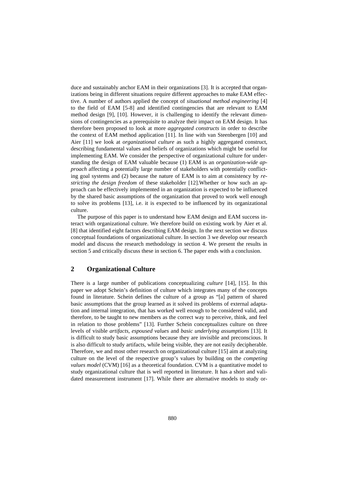duce and sustainably anchor EAM in their organizations [3]. It is accepted that organizations being in different situations require different approaches to make EAM effective. A number of authors applied the concept of *situational method engineering* [4] to the field of EAM [5-8] and identified contingencies that are relevant to EAM method design [9], [10]. However, it is challenging to identify the relevant dimensions of contingencies as a prerequisite to analyze their impact on EAM design. It has therefore been proposed to look at more *aggregated constructs* in order to describe the context of EAM method application [11]. In line with van Steenbergen [10] and Aier [11] we look at *organizational culture* as such a highly aggregated construct, describing fundamental values and beliefs of organizations which might be useful for implementing EAM. We consider the perspective of organizational culture for understanding the design of EAM valuable because (1) EAM is an *organization-wide approach* affecting a potentially large number of stakeholders with potentially conflicting goal systems and (2) because the nature of EAM is to aim at consistency by *restricting the design freedom* of these stakeholder [12].Whether or how such an approach can be effectively implemented in an organization is expected to be influenced by the shared basic assumptions of the organization that proved to work well enough to solve its problems [13], i.e. it is expected to be influenced by its organizational culture.

The purpose of this paper is to understand how EAM design and EAM success interact with organizational culture. We therefore build on existing work by Aier et al. [8] that identified eight factors describing EAM design. In the next section we discuss conceptual foundations of organizational culture. In section 3 we develop our research model and discuss the research methodology in section 4. We present the results in section 5 and critically discuss these in section 6. The paper ends with a conclusion.

### **2 Organizational Culture**

There is a large number of publications conceptualizing *culture* [14], [15]. In this paper we adopt Schein's definition of culture which integrates many of the concepts found in literature. Schein defines the culture of a group as "[a] pattern of shared basic assumptions that the group learned as it solved its problems of external adaptation and internal integration, that has worked well enough to be considered valid, and therefore, to be taught to new members as the correct way to perceive, think, and feel in relation to those problems" [13]. Further Schein conceptualizes culture on three levels of visible *artifacts, espoused values* and *basic underlying assumptions* [13]. It is difficult to study basic assumptions because they are invisible and preconscious. It is also difficult to study artifacts, while being visible, they are not easily decipherable. Therefore, we and most other research on organizational culture [15] aim at analyzing culture on the level of the respective group's values by building on the *competing values model* (CVM) [16] as a theoretical foundation. CVM is a quantitative model to study organizational culture that is well reported in literature. It has a short and validated measurement instrument [17]. While there are alternative models to study or-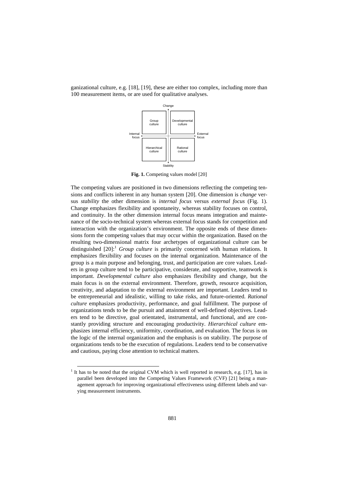



**Fig. 1.** Competing values model [20]

The competing values are positioned in two dimensions reflecting the competing tensions and conflicts inherent in any human system [20]. One dimension is *change* versus *stability* the other dimension is *internal focus* versus *external focus* (Fig. 1). Change emphasizes flexibility and spontaneity, whereas stability focuses on control, and continuity. In the other dimension internal focus means integration and maintenance of the socio-technical system whereas external focus stands for competition and interaction with the organization's environment. The opposite ends of these dimensions form the competing values that may occur within the organization. Based on the resulting two-dimensional matrix four archetypes of organizational culture can be distinguished [20]: <sup>1</sup> *Group culture* is primarily concerned with human relations. It emphasizes flexibility and focuses on the internal organization. Maintenance of the group is a main purpose and belonging, trust, and participation are core values. Leaders in group culture tend to be participative, considerate, and supportive, teamwork is important. *Developmental culture* also emphasizes flexibility and change, but the main focus is on the external environment. Therefore, growth, resource acquisition, creativity, and adaptation to the external environment are important. Leaders tend to be entrepreneurial and idealistic, willing to take risks, and future-oriented. *Rational culture* emphasizes productivity, performance, and goal fulfillment. The purpose of organizations tends to be the pursuit and attainment of well-defined objectives. Leaders tend to be directive, goal orientated, instrumental, and functional, and are constantly providing structure and encouraging productivity. *Hierarchical culture* emphasizes internal efficiency, uniformity, coordination, and evaluation. The focus is on the logic of the internal organization and the emphasis is on stability. The purpose of organizations tends to be the execution of regulations. Leaders tend to be conservative and cautious, paying close attention to technical matters.

-

 $<sup>1</sup>$  It has to be noted that the original CVM which is well reported in research, e.g. [17], has in</sup> parallel been developed into the Competing Values Framework (CVF) [21] being a management approach for improving organizational effectiveness using different labels and varying measurement instruments.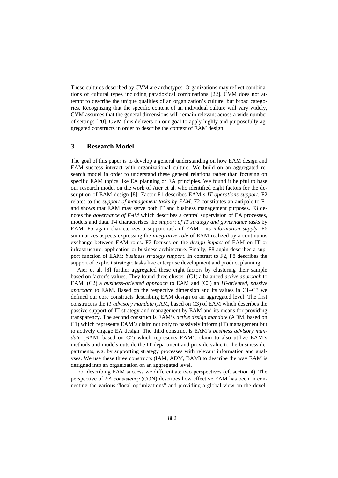These cultures described by CVM are archetypes. Organizations may reflect combinations of cultural types including paradoxical combinations [22]. CVM does not attempt to describe the unique qualities of an organization's culture, but broad categories. Recognizing that the specific content of an individual culture will vary widely, CVM assumes that the general dimensions will remain relevant across a wide number of settings [20]. CVM thus delivers on our goal to apply highly and purposefully aggregated constructs in order to describe the context of EAM design.

## **3 Research Model**

The goal of this paper is to develop a general understanding on how EAM design and EAM success interact with organizational culture. We build on an aggregated research model in order to understand these general relations rather than focusing on specific EAM topics like EA planning or EA principles. We found it helpful to base our research model on the work of Aier et al. who identified eight factors for the description of EAM design [8]: Factor F1 describes EAM's *IT operations support*. F2 relates to the *support of management tasks by EAM*. F2 constitutes an antipole to F1 and shows that EAM may serve both IT and business management purposes. F3 denotes the *governance of EAM* which describes a central supervision of EA processes, models and data. F4 characterizes the *support of IT strategy and governance tasks* by EAM. F5 again characterizes a support task of EAM - its *information supply.* F6 summarizes aspects expressing the *integrative role* of EAM realized by a continuous exchange between EAM roles. F7 focuses on the *design impact* of EAM on IT or infrastructure, application or business architecture. Finally, F8 again describes a support function of EAM: *business strategy support*. In contrast to F2, F8 describes the support of explicit strategic tasks like enterprise development and product planning.

Aier et al. [8] further aggregated these eight factors by clustering their sample based on factor's values. They found three cluster: (C1) a balanced *active approach* to EAM, (C2) a *business-oriented approach* to EAM and (C3) an *IT-oriented, passive approach* to EAM. Based on the respective dimension and its values in C1–C3 we defined our core constructs describing EAM design on an aggregated level: The first construct is the *IT advisory mandate* (IAM, based on C3) of EAM which describes the passive support of IT strategy and management by EAM and its means for providing transparency. The second construct is EAM's *active design mandate* (ADM, based on C1) which represents EAM's claim not only to passively inform (IT) management but to actively engage EA design. The third construct is EAM's *business advisory mandate* (BAM, based on C2) which represents EAM's claim to also utilize EAM's methods and models outside the IT department and provide value to the business departments, e.g. by supporting strategy processes with relevant information and analyses. We use these three constructs (IAM, ADM, BAM) to describe the way EAM is designed into an organization on an aggregated level.

For describing EAM success we differentiate two perspectives (cf. section 4). The perspective of *EA consistency* (CON) describes how effective EAM has been in connecting the various "local optimizations" and providing a global view on the devel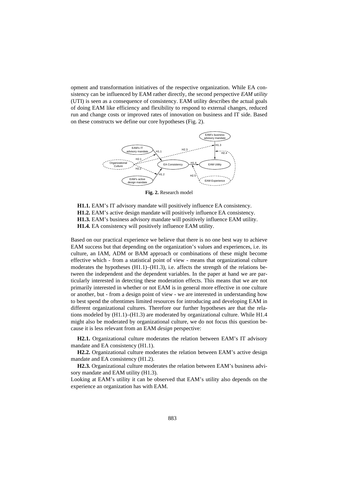opment and transformation initiatives of the respective organization. While EA consistency can be influenced by EAM rather directly, the second perspective *EAM utility* (UTI) is seen as a consequence of consistency. EAM utility describes the actual goals of doing EAM like efficiency and flexibility to respond to external changes, reduced run and change costs or improved rates of innovation on business and IT side. Based on these constructs we define our core hypotheses (Fig. 2).



**Fig. 2.** Research model

**H1.1.** EAM's IT advisory mandate will positively influence EA consistency. **H1.2.** EAM's active design mandate will positively influence EA consistency. **H1.3.** EAM's business advisory mandate will positively influence EAM utility. **H1.4.** EA consistency will positively influence EAM utility.

Based on our practical experience we believe that there is no one best way to achieve EAM success but that depending on the organization's values and experiences, i.e. its culture, an IAM, ADM or BAM approach or combinations of these might become effective which - from a statistical point of view - means that organizational culture moderates the hypotheses  $(H1.1)$ – $(H1.3)$ , i.e. affects the strength of the relations between the independent and the dependent variables. In the paper at hand we are particularly interested in detecting these moderation effects. This means that we are not primarily interested in whether or not EAM is in general more effective in one culture or another, but - from a design point of view - we are interested in understanding how to best spend the oftentimes limited resources for introducing and developing EAM in different organizational cultures. Therefore our further hypotheses are that the relations modeled by (H1.1)–(H1.3) are moderated by organizational culture. While H1.4 might also be moderated by organizational culture, we do not focus this question because it is less relevant from an EAM *design* perspective:

**H2.1.** Organizational culture moderates the relation between EAM's IT advisory mandate and EA consistency (H1.1).

**H2.2.** Organizational culture moderates the relation between EAM's active design mandate and EA consistency (H1.2).

**H2.3.** Organizational culture moderates the relation between EAM's business advisory mandate and EAM utility (H1.3).

Looking at EAM's utility it can be observed that EAM's utility also depends on the experience an organization has with EAM.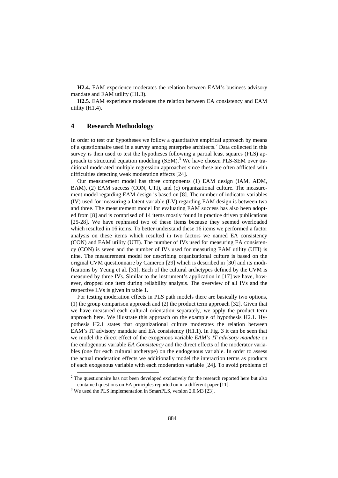**H2.4.** EAM experience moderates the relation between EAM's business advisory mandate and EAM utility (H1.3).

**H2.5.** EAM experience moderates the relation between EA consistency and EAM utility (H1.4).

#### **4 Research Methodology**

In order to test our hypotheses we follow a quantitative empirical approach by means of a questionnaire used in a survey among enterprise architects.<sup>2</sup> Data collected in this survey is then used to test the hypotheses following a partial least squares (PLS) approach to structural equation modeling  $(SEM)$ .<sup>3</sup> We have chosen PLS-SEM over traditional moderated multiple regression approaches since these are often afflicted with difficulties detecting weak moderation effects [24].

Our measurement model has three components (1) EAM design (IAM, ADM, BAM), (2) EAM success (CON, UTI), and (c) organizational culture. The measurement model regarding EAM design is based on [8]. The number of indicator variables (IV) used for measuring a latent variable (LV) regarding EAM design is between two and three. The measurement model for evaluating EAM success has also been adopted from [8] and is comprised of 14 items mostly found in practice driven publications [25-28]. We have rephrased two of these items because they seemed overloaded which resulted in 16 items. To better understand these 16 items we performed a factor analysis on these items which resulted in two factors we named EA consistency (CON) and EAM utility (UTI). The number of IVs used for measuring EA consistency (CON) is seven and the number of IVs used for measuring EAM utility (UTI) is nine. The measurement model for describing organizational culture is based on the original CVM questionnaire by Cameron [29] which is described in [30] and its modifications by Yeung et al. [31]. Each of the cultural archetypes defined by the CVM is measured by three IVs. Similar to the instrument's application in [17] we have, however, dropped one item during reliability analysis. The overview of all IVs and the respective LVs is given in table 1.

For testing moderation effects in PLS path models there are basically two options, (1) the group comparison approach and (2) the product term approach [32]. Given that we have measured each cultural orientation separately, we apply the product term approach here. We illustrate this approach on the example of hypothesis H2.1. Hypothesis H2.1 states that organizational culture moderates the relation between EAM's IT advisory mandate and EA consistency (H1.1). In Fig. 3 it can be seen that we model the direct effect of the exogenous variable *EAM's IT advisory mandate* on the endogenous variable *EA Consistency* and the direct effects of the moderator variables (one for each cultural archetype) on the endogenous variable. In order to assess the actual moderation effects we additionally model the interaction terms as products of each exogenous variable with each moderation variable [24]. To avoid problems of

j

 $2$  The questionnaire has not been developed exclusively for the research reported here but also contained questions on EA principles reported on in a different paper [11].

<sup>&</sup>lt;sup>3</sup> We used the PLS implementation in SmartPLS, version 2.0.M3 [23].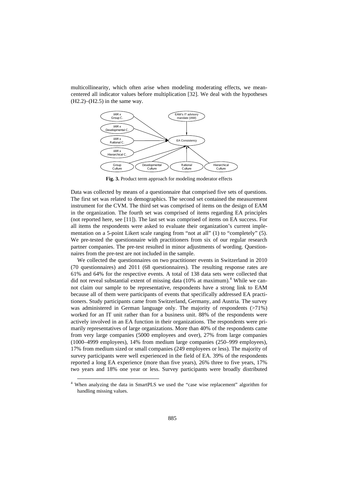multicollinearity, which often arise when modeling moderating effects, we meancentered all indicator values before multiplication [32]. We deal with the hypotheses  $(H2.2)$ – $(H2.5)$  in the same way.



**Fig. 3.** Product term approach for modeling moderator effects

Data was collected by means of a questionnaire that comprised five sets of questions. The first set was related to demographics. The second set contained the measurement instrument for the CVM. The third set was comprised of items on the design of EAM in the organization. The fourth set was comprised of items regarding EA principles (not reported here, see [11]). The last set was comprised of items on EA success. For all items the respondents were asked to evaluate their organization's current implementation on a 5-point Likert scale ranging from "not at all" (1) to "completely" (5). We pre-tested the questionnaire with practitioners from six of our regular research partner companies. The pre-test resulted in minor adjustments of wording. Questionnaires from the pre-test are not included in the sample.

We collected the questionnaires on two practitioner events in Switzerland in 2010 (70 questionnaires) and 2011 (68 questionnaires). The resulting response rates are 61% and 64% for the respective events. A total of 138 data sets were collected that did not reveal substantial extent of missing data  $(10\%$  at maximum).<sup>4</sup> While we cannot claim our sample to be representative, respondents have a strong link to EAM because all of them were participants of events that specifically addressed EA practitioners. Study participants came from Switzerland, Germany, and Austria. The survey was administered in German language only. The majority of respondents (>71%) worked for an IT unit rather than for a business unit. 88% of the respondents were actively involved in an EA function in their organizations. The respondents were primarily representatives of large organizations. More than 40% of the respondents came from very large companies (5000 employees and over), 27% from large companies (1000–4999 employees), 14% from medium large companies (250–999 employees), 17% from medium sized or small companies (249 employees or less). The majority of survey participants were well experienced in the field of EA. 39% of the respondents reported a long EA experience (more than five years), 26% three to five years, 17% two years and 18% one year or less. Survey participants were broadly distributed

-

<sup>4</sup> When analyzing the data in SmartPLS we used the "case wise replacement" algorithm for handling missing values.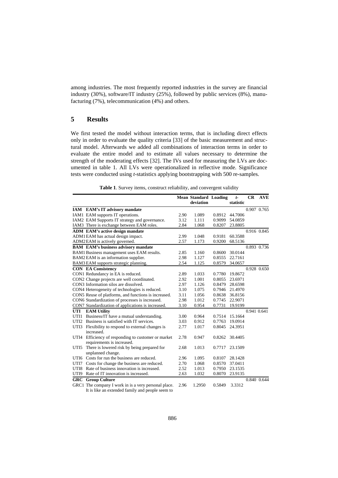among industries. The most frequently reported industries in the survey are financial industry (30%), software/IT industry (25%), followed by public services (8%), manufacturing (7%), telecommunication (4%) and others.

# **5 Results**

We first tested the model without interaction terms, that is including direct effects only in order to evaluate the quality criteria [33] of the basic measurement and structural model. Afterwards we added all combinations of interaction terms in order to evaluate the entire model and to estimate all values necessary to determine the strength of the moderating effects [32]. The IVs used for measuring the LVs are documented in table 1. All LVs were operationalized in reflective mode. Significance tests were conducted using *t*-statistics applying bootstrapping with 500 re-samples.

**Table 1**. Survey items, construct reliability, and convergent validity

|      |                                                                              |      | <b>Mean Standard Loading</b> |        | $t-$      | CR          | <b>AVE</b> |
|------|------------------------------------------------------------------------------|------|------------------------------|--------|-----------|-------------|------------|
|      |                                                                              |      | deviation                    |        | statistic |             |            |
|      | IAM EAM's IT advisory mandate                                                |      |                              |        |           | 0.907 0.765 |            |
|      | IAM1 EAM supports IT operations.                                             | 2.90 | 1.089                        | 0.8912 | 44.7006   |             |            |
|      | IAM2 EAM Supports IT strategy and governance.                                | 3.12 | 1.111                        | 0.9099 | 54.0859   |             |            |
|      | IAM3 There is exchange between EAM roles.                                    | 2.84 | 1.068                        | 0.8207 | 23.8805   |             |            |
|      | <b>ADM</b> EAM's active design mandate                                       |      |                              |        |           | 0.916 0.845 |            |
|      | ADM1EAM has actual design impact.                                            | 2.99 | 1.048                        | 0.9181 | 60.3588   |             |            |
|      | ADM2EAM is actively governed.                                                | 2.57 | 1.173                        | 0.9200 | 68.5136   |             |            |
|      | <b>BAM</b> EAM's business advisory mandate                                   |      |                              |        |           | 0.893 0.736 |            |
|      | BAM1 Business management uses EAM results.                                   | 2.85 | 1.160                        | 0.8600 | 30.0144   |             |            |
|      | BAM2 EAM is an information supplier.                                         | 2.98 | 1.127                        | 0.8555 | 22.7161   |             |            |
|      | BAM3 EAM supports strategic planning.                                        | 2.54 | 1.125                        | 0.8579 | 34.0657   |             |            |
|      | <b>CON EA Consistency</b>                                                    |      |                              |        |           | 0.928 0.650 |            |
|      | CON1 Redundancy in EA is reduced.                                            | 2.89 | 1.033                        | 0.7780 | 19.8672   |             |            |
|      | CON2 Change projects are well coordinated.                                   | 2.92 | 1.001                        | 0.8055 | 23.6971   |             |            |
|      | CON3 Information silos are dissolved.                                        | 2.97 | 1.126                        | 0.8479 | 28.6598   |             |            |
|      | CON4 Heterogeneity of technologies is reduced.                               | 3.10 | 1.075                        | 0.7946 | 21.4970   |             |            |
|      | CON5 Reuse of platforms, and functions is increased.                         | 3.11 | 1.056                        | 0.8638 | 36.8156   |             |            |
|      | CON6 Standardization of processes is increased.                              | 2.98 | 1.012                        | 0.7745 | 22.9071   |             |            |
|      | CON7 Standardization of applications is increased.                           | 3.10 | 0.954                        | 0.7731 | 19.9199   |             |            |
| UTI  | <b>EAM Utility</b>                                                           |      |                              |        |           | 0.941 0.641 |            |
| UTI1 | Business/IT have a mutual understanding.                                     | 3.00 | 0.964                        | 0.7514 | 15.1664   |             |            |
|      | UTI2 Business is satisfied with IT services.                                 | 3.03 | 0.912                        | 0.7763 | 19.0914   |             |            |
|      | UTI3 Flexibility to respond to external changes is<br>increased.             | 2.77 | 1.017                        | 0.8045 | 24.3951   |             |            |
| UTI4 | Efficiency of responding to customer or market<br>requirements is increased. | 2.78 | 0.947                        | 0.8262 | 30.4405   |             |            |
| UTI5 | There is lowered risk by being prepared for<br>unplanned change.             | 2.68 | 1.013                        | 0.7717 | 23.1509   |             |            |
|      | UTI6 Costs for run the business are reduced.                                 | 2.96 | 1.095                        | 0.8107 | 28.1428   |             |            |
|      | UTI7 Costs for change the business are reduced.                              | 2.70 | 1.068                        | 0.8570 | 37.0411   |             |            |
|      | UTI8 Rate of business innovation is increased.                               | 2.52 | 1.013                        | 0.7950 | 23.1535   |             |            |
| UTI9 | Rate of IT innovation is increased.                                          | 2.63 | 1.032                        | 0.8070 | 23.9135   |             |            |
|      | <b>GRC</b> Group Culture                                                     |      |                              |        |           | 0.840 0.644 |            |
|      | GRC1 The company I work in is a very personal place.                         | 2.96 | 1.2950                       | 0.5849 | 3.3312    |             |            |
|      | It is like an extended family and people seem to                             |      |                              |        |           |             |            |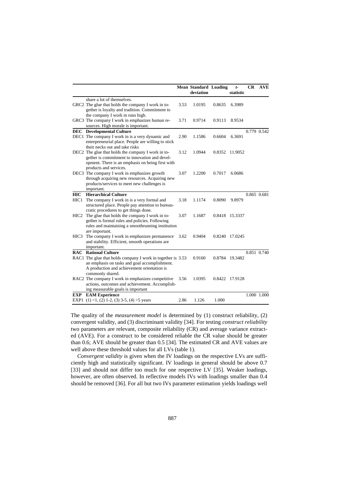|                    |                                                                                                                                                                                                    |      | <b>Mean Standard Loading</b><br>deviation |        | $t-$<br>statistic | <b>CR</b>   | <b>AVE</b>  |
|--------------------|----------------------------------------------------------------------------------------------------------------------------------------------------------------------------------------------------|------|-------------------------------------------|--------|-------------------|-------------|-------------|
|                    | share a lot of themselves.<br>GRC2 The glue that holds the company I work in to-                                                                                                                   | 3.53 | 1.0195                                    | 0.8635 | 6.3989            |             |             |
|                    | gether is loyalty and tradition. Commitment to<br>the company I work in runs high.                                                                                                                 |      |                                           |        |                   |             |             |
|                    | GRC3 The company I work in emphasizes human re-<br>sources. High morale is important.                                                                                                              | 3.71 | 0.9714                                    | 0.9113 | 8.9534            |             |             |
|                    | <b>DEC</b> Developmental Culture                                                                                                                                                                   |      |                                           |        |                   |             | 0.779 0.542 |
|                    | DEC1 The company I work in is a very dynamic and<br>entrepreneurial place. People are willing to stick<br>their necks out and take risks                                                           | 2.90 | 1.1586                                    | 0.6604 | 6.3691            |             |             |
|                    | DEC <sub>2</sub> The glue that holds the company I work in to-<br>gether is commitment to innovation and devel-<br>opment. There is an emphasis on being first with<br>products and services.      | 3.12 | 1.0944                                    | 0.8352 | 11.9052           |             |             |
|                    | DEC3 The company I work in emphasizes growth<br>through acquiring new resources. Acquiring new<br>products/services to meet new challenges is                                                      | 3.07 | 1.2200                                    | 0.7017 | 6.0686            |             |             |
|                    | important.                                                                                                                                                                                         |      |                                           |        |                   |             |             |
| <b>HIC</b><br>HIC1 | <b>Hierarchical Culture</b><br>The company I work in is a very formal and<br>structured place. People pay attention to bureau-                                                                     | 3.18 | 1.1174                                    | 0.8090 | 9.8979            | 0.865 0.681 |             |
|                    | cratic procedures to get things done.<br>HIC2 The glue that holds the company I work in to-<br>gether is formal rules and policies. Following<br>rules and maintaining a smoothrunning institution | 3.07 | 1.1687                                    |        | 0.8418 15.3337    |             |             |
| HIC3               | are important.<br>The company I work in emphasizes permanence<br>and stability. Efficient, smooth operations are<br>important.                                                                     | 3.62 | 0.9404                                    | 0.8240 | 17.0245           |             |             |
|                    | <b>RAC</b> Rational Culture                                                                                                                                                                        |      |                                           |        |                   | 0.851 0.740 |             |
|                    | RAC1 The glue that holds company I work in together is 3.53<br>an emphasis on tasks and goal accomplishment.<br>A production and achievement orientation is                                        |      | 0.9160                                    | 0.8784 | 19.3482           |             |             |
|                    | commonly shared.<br>RAC2 The company I work in emphasizes competitive<br>actions, outcomes and achievement. Accomplish-<br>ing measurable goals is important                                       | 3.56 | 1.0395                                    | 0.8422 | 17.9128           |             |             |
| EXP                | <b>EAM Experience</b>                                                                                                                                                                              |      |                                           |        |                   |             | 1.000 1.000 |
|                    | EXP1 $(1)$ <1, $(2)$ 1-2, $(3)$ 3-5, $(4)$ >5 years                                                                                                                                                | 2.86 | 1.126                                     | 1.000  |                   |             |             |

The quality of the *measurement model* is determined by (1) construct reliability, (2) convergent validity, and (3) discriminant validity [34]. For testing *construct reliability* two parameters are relevant, composite reliability (CR) and average variance extracted (AVE). For a construct to be considered reliable the CR value should be greater than 0.6; AVE should be greater than 0.5 [34]. The estimated CR and AVE values are well above these threshold values for all LVs (table 1).

*Convergent validity* is given when the IV loadings on the respective LVs are sufficiently high and statistically significant. IV loadings in general should be above 0.7 [33] and should not differ too much for one respective LV [35]. Weaker loadings, however, are often observed. In reflective models IVs with loadings smaller than 0.4 should be removed [36]. For all but two IVs parameter estimation yields loadings well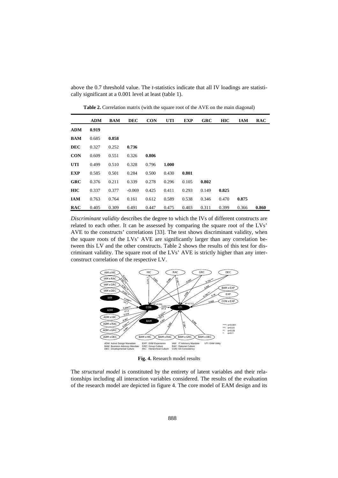above the 0.7 threshold value. The *t-*statistics indicate that all IV loadings are statistically significant at a 0.001 level at least (table 1).

**ADM BAM DEC CON UTI EXP GRC HIC IAM RAC ADM 0.919 BAM** 0.685 **0.858 DEC** 0.327 0.252 **0.736 CON** 0.609 0.551 0.326 **0.806 UTI** 0.499 0.510 0.328 0.796 **1.000 EXP** 0.585 0.501 0.284 0.500 0.430 **0.801 GRC** 0.376 0.211 0.339 0.278 0.296 0.105 **0.802 HIC** 0.337 0.377 -0.069 0.425 0.411 0.293 0.149 **0.825 IAM** 0.763 0.764 0.161 0.612 0.589 0.538 0.346 0.470 **0.875 RAC** 0.405 0.309 0.491 0.447 0.475 0.403 0.311 0.399 0.366 **0.860**

**Table 2.** Correlation matrix (with the square root of the AVE on the main diagonal)

*Discriminant validity* describes the degree to which the IVs of different constructs are related to each other. It can be assessed by comparing the square root of the LVs' AVE to the constructs' correlations [33]. The test shows discriminant validity, when the square roots of the LVs' AVE are significantly larger than any correlation between this LV and the other constructs. Table 2 shows the results of this test for discriminant validity. The square root of the LVs' AVE is strictly higher than any interconstruct correlation of the respective LV.



**Fig. 4.** Research model results

The *structural model* is constituted by the entirety of latent variables and their relationships including all interaction variables considered. The results of the evaluation of the research model are depicted in figure 4. The core model of EAM design and its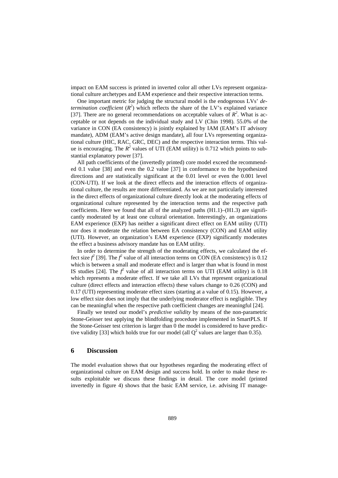impact on EAM success is printed in inverted color all other LVs represent organizational culture archetypes and EAM experience and their respective interaction terms.

One important metric for judging the structural model is the endogenous LVs' *determination coefficient*  $(R^2)$  which reflects the share of the LV's explained variance [37]. There are no general recommendations on acceptable values of  $R^2$ . What is acceptable or not depends on the individual study and LV (Chin 1998). 55.0% of the variance in CON (EA consistency) is jointly explained by IAM (EAM's IT advisory mandate), ADM (EAM's active design mandate), all four LVs representing organizational culture (HIC, RAC, GRC, DEC) and the respective interaction terms. This value is encouraging. The  $R^2$  values of UTI (EAM utility) is 0.712 which points to substantial explanatory power [37].

All path coefficients of the (invertedly printed) core model exceed the recommended 0.1 value [38] and even the 0.2 value [37] in conformance to the hypothesized directions and are statistically significant at the 0.01 level or even the 0.001 level (CON-UTI). If we look at the direct effects and the interaction effects of organizational culture, the results are more differentiated. As we are not particularly interested in the direct effects of organizational culture directly look at the moderating effects of organizational culture represented by the interaction terms and the respective path coefficients. Here we found that all of the analyzed paths  $(H1.1)$ – $(H1.3)$  are significantly moderated by at least one cultural orientation. Interestingly, an organizations EAM experience (EXP) has neither a significant direct effect on EAM utility (UTI) nor does it moderate the relation between EA consistency (CON) and EAM utility (UTI). However, an organization's EAM experience (EXP) significantly moderates the effect a business advisory mandate has on EAM utility.

In order to determine the strength of the moderating effects, we calculated the effect size  $f^2$  [39]. The  $f^2$  value of all interaction terms on CON (EA consistency) is 0.12 which is between a small and moderate effect and is larger than what is found in most IS studies [24]. The  $f^2$  value of all interaction terms on UTI (EAM utility) is 0.18 which represents a moderate effect. If we take all LVs that represent organizational culture (direct effects and interaction effects) these values change to 0.26 (CON) and 0.17 (UTI) representing moderate effect sizes (starting at a value of 0.15). However, a low effect size does not imply that the underlying moderator effect is negligible. They can be meaningful when the respective path coefficient changes are meaningful [24].

Finally we tested our model's *predictive validity* by means of the non-parametric Stone-Geisser test applying the blindfolding procedure implemented in SmartPLS. If the Stone-Geisser test criterion is larger than 0 the model is considered to have predictive validity [33] which holds true for our model (all  $Q^2$  values are larger than 0.35).

#### **6 Discussion**

The model evaluation shows that our hypotheses regarding the moderating effect of organizational culture on EAM design and success hold. In order to make these results exploitable we discuss these findings in detail. The core model (printed invertedly in figure 4) shows that the basic EAM service, i.e. advising IT manage-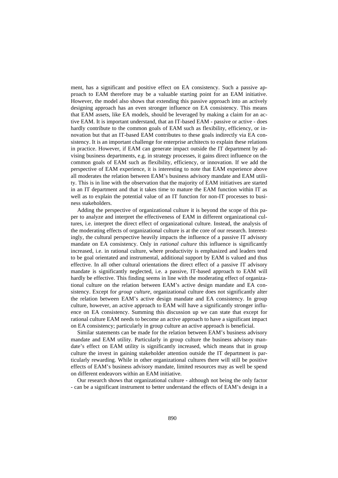ment, has a significant and positive effect on EA consistency. Such a passive approach to EAM therefore may be a valuable starting point for an EAM initiative. However, the model also shows that extending this passive approach into an actively designing approach has an even stronger influence on EA consistency. This means that EAM assets, like EA models, should be leveraged by making a claim for an active EAM. It is important understand, that an IT-based EAM - passive or active - does hardly contribute to the common goals of EAM such as flexibility, efficiency, or innovation but that an IT-based EAM contributes to these goals indirectly via EA consistency. It is an important challenge for enterprise architects to explain these relations in practice. However, if EAM can generate impact outside the IT department by advising business departments, e.g. in strategy processes, it gains direct influence on the common goals of EAM such as flexibility, efficiency, or innovation. If we add the perspective of EAM experience, it is interesting to note that EAM experience above all moderates the relation between EAM's business advisory mandate and EAM utility. This is in line with the observation that the majority of EAM initiatives are started in an IT department and that it takes time to mature the EAM function within IT as well as to explain the potential value of an IT function for non-IT processes to business stakeholders.

Adding the perspective of organizational culture it is beyond the scope of this paper to analyze and interpret the effectiveness of EAM in different organizational cultures, i.e. interpret the direct effect of organizational culture. Instead, the analysis of the moderating effects of organizational culture is at the core of our research. Interestingly, the cultural perspective heavily impacts the influence of a passive IT advisory mandate on EA consistency. Only in *rational culture* this influence is significantly increased, i.e. in rational culture, where productivity is emphasized and leaders tend to be goal orientated and instrumental, additional support by EAM is valued and thus effective. In all other cultural orientations the direct effect of a passive IT advisory mandate is significantly neglected, i.e. a passive, IT-based approach to EAM will hardly be effective. This finding seems in line with the moderating effect of organizational culture on the relation between EAM's active design mandate and EA consistency. Except for *group culture*, organizational culture does not significantly alter the relation between EAM's active design mandate and EA consistency. In group culture, however, an active approach to EAM will have a significantly stronger influence on EA consistency. Summing this discussion up we can state that except for rational culture EAM needs to become an active approach to have a significant impact on EA consistency; particularly in group culture an active approach is beneficial.

Similar statements can be made for the relation between EAM's business advisory mandate and EAM utility. Particularly in group culture the business advisory mandate's effect on EAM utility is significantly increased, which means that in group culture the invest in gaining stakeholder attention outside the IT department is particularly rewarding. While in other organizational cultures there will still be positive effects of EAM's business advisory mandate, limited resources may as well be spend on different endeavors within an EAM initiative.

Our research shows that organizational culture - although not being the only factor - can be a significant instrument to better understand the effects of EAM's design in a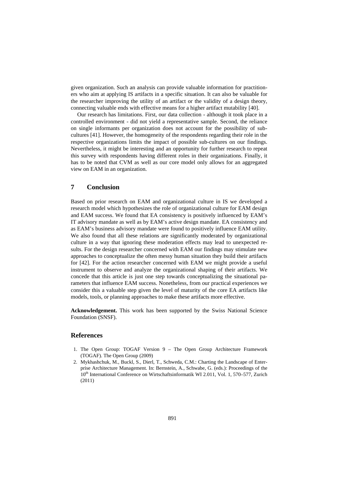given organization. Such an analysis can provide valuable information for practitioners who aim at applying IS artifacts in a specific situation. It can also be valuable for the researcher improving the utility of an artifact or the validity of a design theory, connecting valuable ends with effective means for a higher artifact mutability [40].

Our research has limitations. First, our data collection - although it took place in a controlled environment - did not yield a representative sample. Second, the reliance on single informants per organization does not account for the possibility of subcultures [41]. However, the homogeneity of the respondents regarding their role in the respective organizations limits the impact of possible sub-cultures on our findings. Nevertheless, it might be interesting and an opportunity for further research to repeat this survey with respondents having different roles in their organizations. Finally, it has to be noted that CVM as well as our core model only allows for an aggregated view on EAM in an organization.

#### **7 Conclusion**

Based on prior research on EAM and organizational culture in IS we developed a research model which hypothesizes the role of organizational culture for EAM design and EAM success. We found that EA consistency is positively influenced by EAM's IT advisory mandate as well as by EAM's active design mandate. EA consistency and as EAM's business advisory mandate were found to positively influence EAM utility. We also found that all these relations are significantly moderated by organizational culture in a way that ignoring these moderation effects may lead to unexpected results. For the design researcher concerned with EAM our findings may stimulate new approaches to conceptualize the often messy human situation they build their artifacts for [42]. For the action researcher concerned with EAM we might provide a useful instrument to observe and analyze the organizational shaping of their artifacts. We concede that this article is just one step towards conceptualizing the situational parameters that influence EAM success. Nonetheless, from our practical experiences we consider this a valuable step given the level of maturity of the core EA artifacts like models, tools, or planning approaches to make these artifacts more effective.

**Acknowledgement.** This work has been supported by the Swiss National Science Foundation (SNSF).

## **References**

- 1. The Open Group: TOGAF Version 9 The Open Group Architecture Framework (TOGAF). The Open Group (2009)
- 2. Mykhashchuk, M., Buckl, S., Dierl, T., Schweda, C.M.: Charting the Landscape of Enterprise Architecture Management. In: Bernstein, A., Schwabe, G. (eds.): Proceedings of the 10<sup>th</sup> International Conference on Wirtschaftsinformatik WI 2.011, Vol. 1, 570–577, Zurich (2011)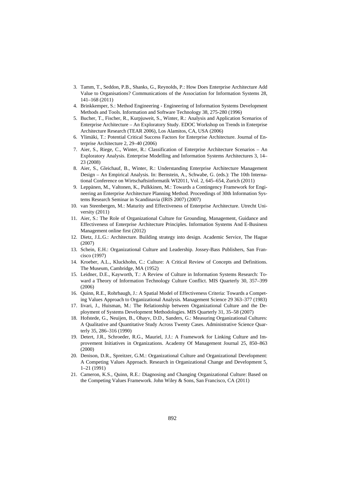- 3. Tamm, T., Seddon, P.B., Shanks, G., Reynolds, P.: How Does Enterprise Architecture Add Value to Organisations? Communications of the Association for Information Systems 28, 141–168 (2011)
- 4. Brinkkemper, S.: Method Engineering Engineering of Information Systems Development Methods and Tools. Information and Software Technology 38, 275-280 (1996)
- 5. Bucher, T., Fischer, R., Kurpjuweit, S., Winter, R.: Analysis and Application Scenarios of Enterprise Architecture – An Exploratory Study. EDOC Workshop on Trends in Enterprise Architecture Research (TEAR 2006), Los Alamitos, CA, USA (2006)
- 6. Ylimäki, T.: Potential Critical Success Factors for Enterprise Architecture. Journal of Enterprise Architecture 2, 29–40 (2006)
- 7. Aier, S., Riege, C., Winter, R.: Classification of Enterprise Architecture Scenarios An Exploratory Analysis. Enterprise Modelling and Information Systems Architectures 3, 14– 23 (2008)
- 8. Aier, S., Gleichauf, B., Winter, R.: Understanding Enterprise Architecture Management Design – An Empirical Analysis. In: Bernstein, A., Schwabe, G. (eds.): The 10th International Conference on Wirtschaftsinformatik WI2011, Vol. 2, 645–654, Zurich (2011)
- 9. Leppänen, M., Valtonen, K., Pulkkinen, M.: Towards a Contingency Framework for Engineering an Enterprise Architecture Planning Method. Proceedings of 30th Information Systems Research Seminar in Scandinavia (IRIS 2007) (2007)
- 10. van Steenbergen, M.: Maturity and Effectiveness of Enterprise Architecture. Utrecht University (2011)
- 11. Aier, S.: The Role of Organizational Culture for Grounding, Management, Guidance and Effectiveness of Enterprise Architecture Principles. Information Systems And E-Business Management online first (2012)
- 12. Dietz, J.L.G.: Architecture. Building strategy into design. Academic Service, The Hague (2007)
- 13. Schein, E.H.: Organizational Culture and Leadership. Jossey-Bass Publishers, San Francisco (1997)
- 14. Kroeber, A.L., Kluckhohn, C.: Culture: A Critical Review of Concepts and Definitions. The Museum, Cambridge, MA (1952)
- 15. Leidner, D.E., Kayworth, T.: A Review of Culture in Information Systems Research: Toward a Theory of Information Technology Culture Conflict. MIS Quarterly 30, 357–399 (2006)
- 16. Quinn, R.E., Rohrbaugh, J.: A Spatial Model of Effectiveness Criteria: Towards a Competing Values Approach to Organizational Analysis. Management Science 29 363–377 (1983)
- 17. Iivari, J., Huisman, M.: The Relationship between Organizational Culture and the Deployment of Systems Development Methodologies. MIS Quarterly 31, 35–58 (2007)
- 18. Hofstede, G., Neuijen, B., Ohayv, D.D., Sanders, G.: Measuring Organizational Cultures: A Qualitative and Quantitative Study Across Twenty Cases. Administrative Science Quarterly 35, 286–316 (1990)
- 19. Detert, J.R., Schroeder, R.G., Mauriel, J.J.: A Framework for Linking Culture and Improvement Initiatives in Organizations. Academy Of Management Journal 25, 850–863 (2000)
- 20. Denison, D.R., Spreitzer, G.M.: Organizational Culture and Organizational Development: A Competing Values Approach. Research in Organizational Change and Development 5, 1–21 (1991)
- 21. Cameron, K.S., Quinn, R.E.: Diagnosing and Changing Organizational Culture: Based on the Competing Values Framework. John Wiley & Sons, San Francisco, CA (2011)